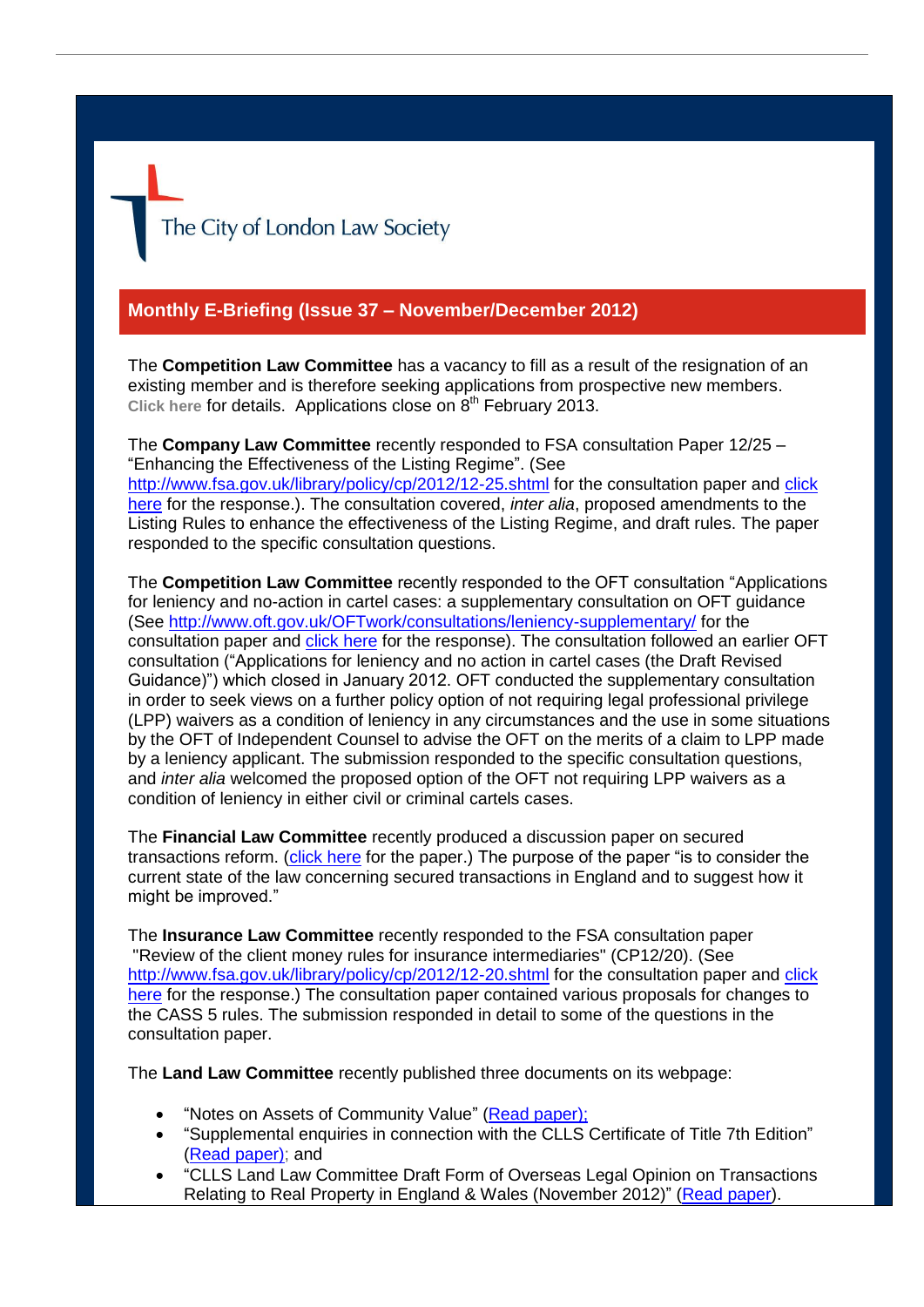

## **Monthly E-Briefing (Issue 37 – November/December 2012)**

The **Competition Law Committee** has a vacancy to fill as a result of the resignation of an existing member and is therefore seeking applications from prospective new members. [Click here](http://www.citysolicitors.org.uk/FileServer.aspx?oID=1310&lID=0) for details. Applications close on 8<sup>th</sup> February 2013.

The **Company Law Committee** recently responded to FSA consultation Paper 12/25 – "Enhancing the Effectiveness of the Listing Regime". (See <http://www.fsa.gov.uk/library/policy/cp/2012/12-25.shtml> for the consultation paper and [click](http://www.citysolicitors.org.uk/FileServer.aspx?oID=1315&lID=0)  [here](http://www.citysolicitors.org.uk/FileServer.aspx?oID=1315&lID=0) for the response.). The consultation covered, *inter alia*, proposed amendments to the Listing Rules to enhance the effectiveness of the Listing Regime, and draft rules. The paper responded to the specific consultation questions.

The **Competition Law Committee** recently responded to the OFT consultation "Applications for leniency and no-action in cartel cases: a supplementary consultation on OFT guidance (See<http://www.oft.gov.uk/OFTwork/consultations/leniency-supplementary/> for the consultation paper and [click here](http://www.citysolicitors.org.uk/FileServer.aspx?oID=1295&lID=0) for the response). The consultation followed an earlier OFT consultation ("Applications for leniency and no action in cartel cases (the Draft Revised Guidance)") which closed in January 2012. OFT conducted the supplementary consultation in order to seek views on a further policy option of not requiring legal professional privilege (LPP) waivers as a condition of leniency in any circumstances and the use in some situations by the OFT of Independent Counsel to advise the OFT on the merits of a claim to LPP made by a leniency applicant. The submission responded to the specific consultation questions, and *inter alia* welcomed the proposed option of the OFT not requiring LPP waivers as a condition of leniency in either civil or criminal cartels cases.

The **Financial Law Committee** recently produced a discussion paper on secured transactions reform. [\(click here](http://www.citysolicitors.org.uk/FileServer.aspx?oID=1290&lID=0) for the paper.) The purpose of the paper "is to consider the current state of the law concerning secured transactions in England and to suggest how it might be improved."

The **Insurance Law Committee** recently responded to the FSA consultation paper "Review of the client money rules for insurance intermediaries" (CP12/20). (See <http://www.fsa.gov.uk/library/policy/cp/2012/12-20.shtml> for the consultation paper and click [here](http://www.citysolicitors.org.uk/FileServer.aspx?oID=1305&lID=0) for the response.) The consultation paper contained various proposals for changes to the CASS 5 rules. The submission responded in detail to some of the questions in the consultation paper.

The **Land Law Committee** recently published three documents on its webpage:

- "Notes on Assets of Community Value" [\(Read paper\)](http://www.citysolicitors.org.uk/FileServer.aspx?oID=1293&lID=0);
- "Supplemental enquiries in connection with the CLLS Certificate of Title 7th Edition" [\(Read paper\)](http://www.citysolicitors.org.uk/FileServer.aspx?oID=1294&lID=0); and
- "CLLS Land Law Committee Draft Form of Overseas Legal Opinion on Transactions Relating to Real Property in England & Wales (November 2012)" [\(Read paper\)](http://www.citysolicitors.org.uk/FileServer.aspx?oID=1282&lID=0).